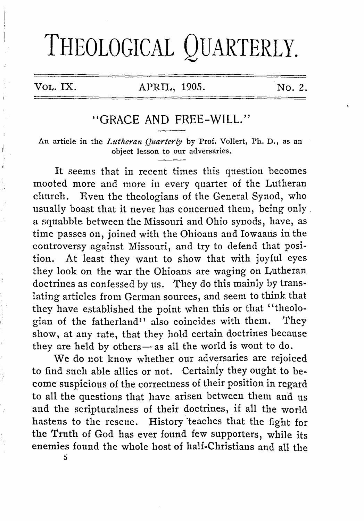# THEOLOGICAL QUARTERLY.

ä

### VOL. IX. APRIL, 1905. No. 2.

## "GRACE AND FREE-WILL"

An article in the *Lutheran Quarterly* by Prof. Vollert, Ph. D., as an object lesson to our adversaries.

It seems that in recent times this question becomes mooted more and more in every quarter of the Lutheran church. Even the theologians of the General Synod, who usually boast that it never has concerned them, being only a squabble between the Missouri and Ohio synods, have, as time passes on, joined with the Ohioans and Iowaans in the controversy against Missouri, and try to defend that position. At least they want to show that with joyful eyes they look on the war the Ohioans are waging on Lutheran doctrines as confessed by us. They do this mainly by translating articles from German sources, and seem to think that they have established the point when this or that ''theologian of the fatherland" also coincides with them. They show, at any rate, that they hold certain doctrines because they are held by others-as all the world is wont to do.

We do not know whether our adversaries are rejoiced to find such able allies or not. Certainly they ought to become suspicious of the correctness of their position in regard to all the questions that have arisen between them and us and the scripturalness of their doctrines, if all the world hastens to the rescue. History teaches that the fight for the Truth of God has ever found few supporters, while its enemies found the whole host of half-Christians and all the

5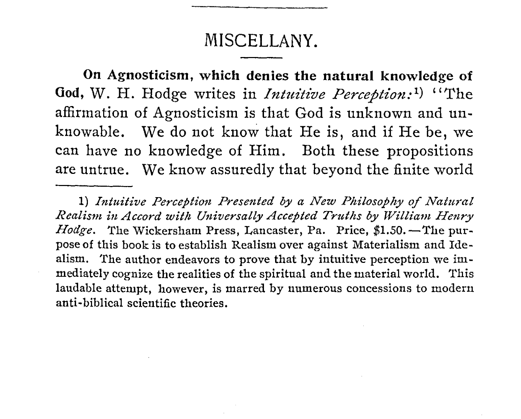# MISCELLANY.

On Agnosticism, which denies the natural knowledge of God, W. H. Hodge writes in *Intuitive Perception*:<sup>1</sup>) "The affirmation of Agnosticism is that God is unknown and unknowable. We do not know that He is, and if He be, we can have no knowledge of Him. Both these propositions are untrue. We know assuredly that beyond the finite world

<sup>1)</sup> Intuitive Perception Presented by a New Philosophy of Natural Realism in Accord with Universally Accepted Truths by William Henry *Hodge*. The Wickersham Press, Lancaster, Pa. Price, \$1.50. - The purpose of this book is to establish Realism over against Materialism and Idealism. The author endeavors to prove that by intuitive perception we immediately cognize the realities of the spiritual and the material world. This laudable attempt, however, is marred by numerous concessions to modern anti-biblical scientific theories.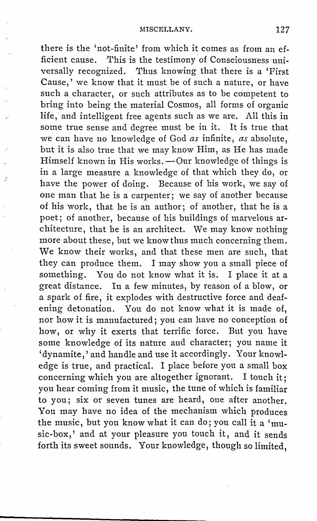there is the 'not-finite' from which it comes as from an efficient cause. This is the testimony of Consciousness universally recognized. Thus knowing that there is a 'First Cause,' we know that it must be of such a nature, or have such a character, or such attributes as to be competent to bring into being the material Cosmos, all forms of organic life, and intelligent free agents such as we are. All this in some true sense and degree must be in it. It is true that we can have no knowledge of God *as* infinite, *as* absolute, but it is also true that we may know Him, as He has made Himself known in His works. $-$ Our knowledge of things is in a large measure a knowledge of that which they do, or have the power of doing. Because of his work, we say of one man that he is a carpenter; we say of another because of his work, that he is an author; of another, that he is a poet; of another, because of his buildings of marvelous architecture, that he is an architect. We may know nothing more about these, but we know thus much concerning them. We know their works, and that these men are such, that they can produce them. I may show you a small piece of something. You do not know what it is. I place it at a great distance. In a few minutes, by reason of a blow, or a spark of fire, it explodes with destructive force and deafening detonation. You do not know what it is made of, nor how it is manufactured; you can have no conception of how, or why it exerts that terrific force. But you have some knowledge of its nature aud character; you name it 'dynamite,' and handle and use it accordingly. Your knowledge is true, and practical. I place before you a small box concerning which you are altogether ignorant. I touch it; you hear coming from it music, the tune of which is familiar to you; six or seven tunes are heard, one after another. You may have no idea of the mechanism which produces the music, but you know what it can do; you call it a 'music-box,' and at your pleasure you touch it, and it sends forth its sweet sounds. Your knowledge, though so limited,